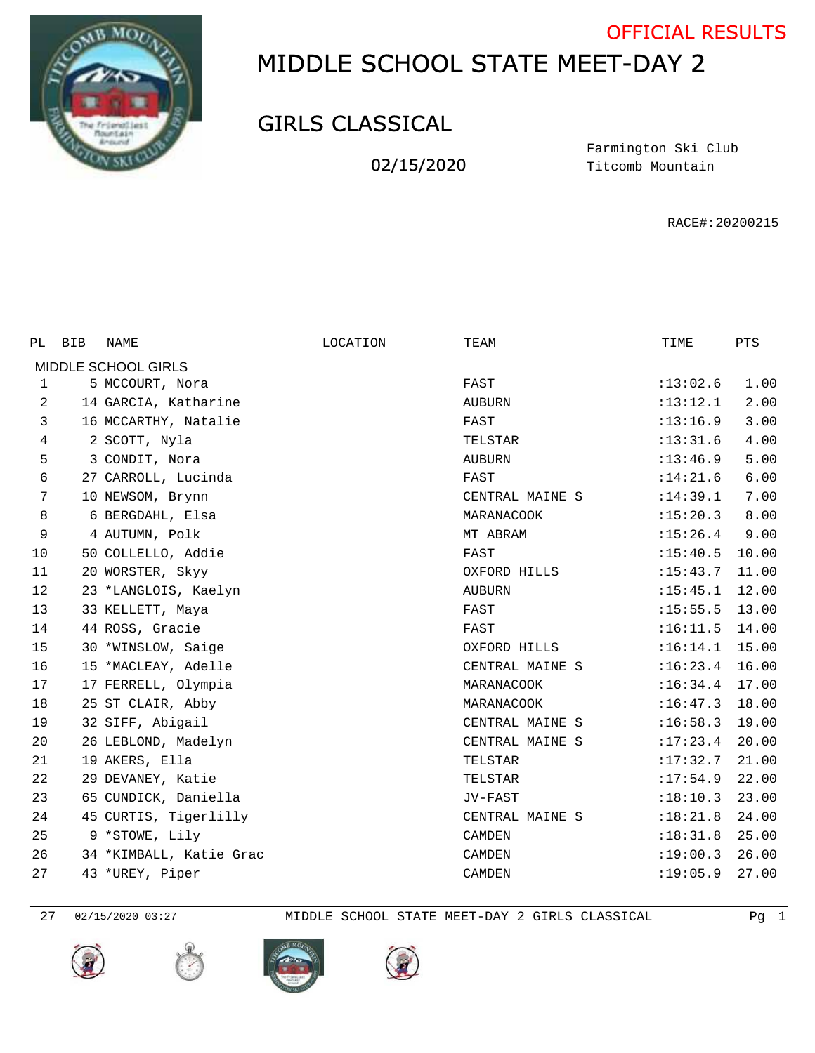

## MIDDLE SCHOOL STATE MEET-DAY 2 OFFICIAL RESULTS

## GIRLS CLASSICAL

02/15/2020

Titcomb Mountain Farmington Ski Club

RACE#:20200215

| PL. | <b>BIB</b> | NAME                    | LOCATION | TEAM            | TIME     | PTS   |
|-----|------------|-------------------------|----------|-----------------|----------|-------|
|     |            | MIDDLE SCHOOL GIRLS     |          |                 |          |       |
| 1   |            | 5 MCCOURT, Nora         |          | FAST            | :13:02.6 | 1.00  |
| 2   |            | 14 GARCIA, Katharine    |          | <b>AUBURN</b>   | :13:12.1 | 2.00  |
| 3   |            | 16 MCCARTHY, Natalie    |          | FAST            | :13:16.9 | 3.00  |
| 4   |            | 2 SCOTT, Nyla           |          | TELSTAR         | :13:31.6 | 4.00  |
| 5   |            | 3 CONDIT, Nora          |          | <b>AUBURN</b>   | :13:46.9 | 5.00  |
| 6   |            | 27 CARROLL, Lucinda     |          | FAST            | :14:21.6 | 6.00  |
| 7   |            | 10 NEWSOM, Brynn        |          | CENTRAL MAINE S | :14:39.1 | 7.00  |
| 8   |            | 6 BERGDAHL, Elsa        |          | MARANACOOK      | :15:20.3 | 8.00  |
| 9   |            | 4 AUTUMN, Polk          |          | MT ABRAM        | :15:26.4 | 9.00  |
| 10  |            | 50 COLLELLO, Addie      |          | FAST            | :15:40.5 | 10.00 |
| 11  |            | 20 WORSTER, Skyy        |          | OXFORD HILLS    | :15:43.7 | 11.00 |
| 12  |            | 23 *LANGLOIS, Kaelyn    |          | <b>AUBURN</b>   | :15:45.1 | 12.00 |
| 13  |            | 33 KELLETT, Maya        |          | FAST            | :15:55.5 | 13.00 |
| 14  |            | 44 ROSS, Gracie         |          | FAST            | :16:11.5 | 14.00 |
| 15  |            | 30 *WINSLOW, Saige      |          | OXFORD HILLS    | :16:14.1 | 15.00 |
| 16  |            | 15 *MACLEAY, Adelle     |          | CENTRAL MAINE S | :16:23.4 | 16.00 |
| 17  |            | 17 FERRELL, Olympia     |          | MARANACOOK      | :16:34.4 | 17.00 |
| 18  |            | 25 ST CLAIR, Abby       |          | MARANACOOK      | :16:47.3 | 18.00 |
| 19  |            | 32 SIFF, Abigail        |          | CENTRAL MAINE S | :16:58.3 | 19.00 |
| 20  |            | 26 LEBLOND, Madelyn     |          | CENTRAL MAINE S | :17:23.4 | 20.00 |
| 21  |            | 19 AKERS, Ella          |          | TELSTAR         | :17:32.7 | 21.00 |
| 22  |            | 29 DEVANEY, Katie       |          | TELSTAR         | :17:54.9 | 22.00 |
| 23  |            | 65 CUNDICK, Daniella    |          | JV-FAST         | :18:10.3 | 23.00 |
| 24  |            | 45 CURTIS, Tigerlilly   |          | CENTRAL MAINE S | :18:21.8 | 24.00 |
| 25  |            | 9 *STOWE, Lily          |          | <b>CAMDEN</b>   | :18:31.8 | 25.00 |
| 26  |            | 34 *KIMBALL, Katie Grac |          | <b>CAMDEN</b>   | :19:00.3 | 26.00 |
| 27  |            | 43 *UREY, Piper         |          | <b>CAMDEN</b>   | :19:05.9 | 27.00 |

02/15/2020 03:27 MIDDLE SCHOOL STATE MEET-DAY 2 GIRLS CLASSICAL Pg 1